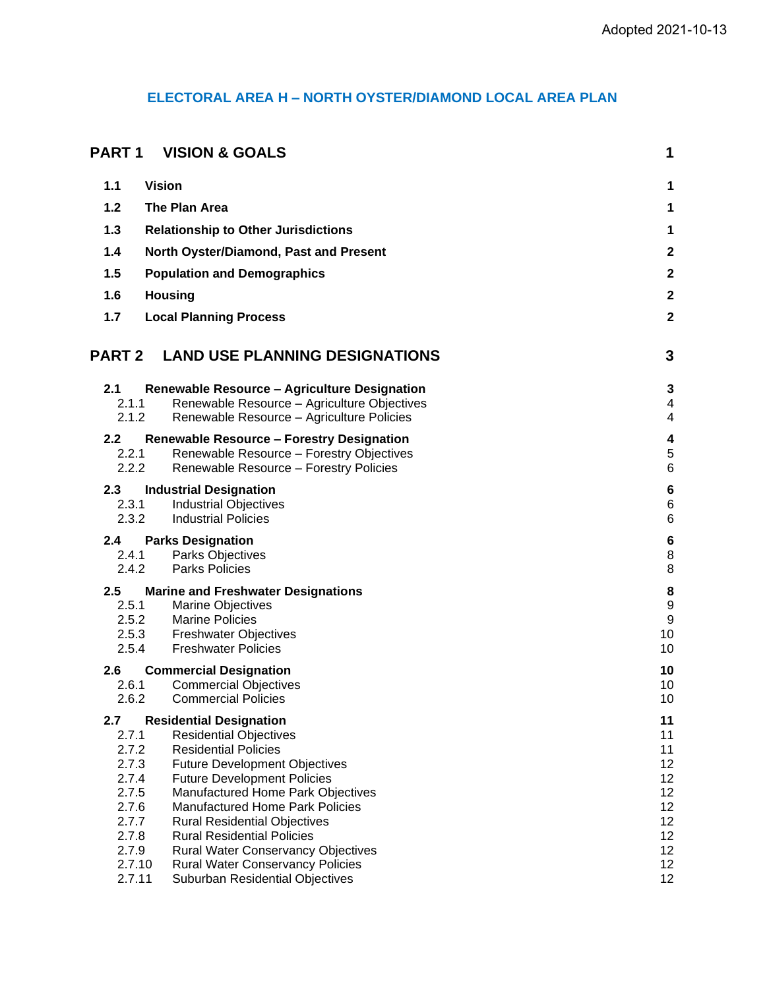# **ELECTORAL AREA H – NORTH OYSTER/DIAMOND LOCAL AREA PLAN**

| PART 1                    | <b>VISION &amp; GOALS</b>                                                                    | 1                             |
|---------------------------|----------------------------------------------------------------------------------------------|-------------------------------|
| 1.1                       | <b>Vision</b>                                                                                | 1                             |
| 1.2                       | The Plan Area                                                                                | 1                             |
| 1.3                       | <b>Relationship to Other Jurisdictions</b>                                                   | 1                             |
| 1.4                       | North Oyster/Diamond, Past and Present                                                       | $\boldsymbol{2}$              |
| 1.5                       | <b>Population and Demographics</b>                                                           | $\mathbf 2$                   |
| 1.6                       | <b>Housing</b>                                                                               | $\mathbf 2$                   |
| 1.7                       | <b>Local Planning Process</b>                                                                | $\mathbf 2$                   |
| <b>PART 2</b>             | <b>LAND USE PLANNING DESIGNATIONS</b>                                                        | 3                             |
| 2.1<br>2.1.1<br>2.1.2     | Renewable Resource - Agriculture Designation<br>Renewable Resource - Agriculture Objectives  | 3<br>$\overline{\mathcal{A}}$ |
|                           | Renewable Resource - Agriculture Policies                                                    | 4                             |
| 2.2 <sub>2</sub><br>2.2.1 | <b>Renewable Resource - Forestry Designation</b><br>Renewable Resource - Forestry Objectives | 4<br>$\,$ 5 $\,$              |
| 2.2.2                     | Renewable Resource - Forestry Policies                                                       | $6\phantom{1}6$               |
| 2.3                       | <b>Industrial Designation</b>                                                                | $\bf 6$<br>$\,6$              |
| 2.3.1<br>2.3.2            | <b>Industrial Objectives</b><br><b>Industrial Policies</b>                                   | $\,6$                         |
| 2.4                       | <b>Parks Designation</b>                                                                     | $\bf 6$                       |
| 2.4.1<br>2.4.2            | Parks Objectives<br><b>Parks Policies</b>                                                    | 8<br>8                        |
| 2.5                       | <b>Marine and Freshwater Designations</b>                                                    |                               |
| 2.5.1                     | <b>Marine Objectives</b>                                                                     | 8<br>9                        |
| 2.5.2                     | <b>Marine Policies</b>                                                                       | $\boldsymbol{9}$              |
| 2.5.3<br>2.5.4            | <b>Freshwater Objectives</b><br><b>Freshwater Policies</b>                                   | 10<br>10                      |
| 2.6                       | <b>Commercial Designation</b>                                                                | 10                            |
| 2.6.1                     | <b>Commercial Objectives</b>                                                                 | 10                            |
| 2.6.2                     | <b>Commercial Policies</b>                                                                   | 10                            |
| 2.7<br>2.7.1              | <b>Residential Designation</b><br><b>Residential Objectives</b>                              | 11<br>11                      |
| 2.7.2                     | <b>Residential Policies</b>                                                                  | 11                            |
| 2.7.3                     | <b>Future Development Objectives</b>                                                         | 12<br>12                      |
| 2.7.4<br>2.7.5            | <b>Future Development Policies</b><br>Manufactured Home Park Objectives                      | 12                            |
| 2.7.6                     | <b>Manufactured Home Park Policies</b>                                                       | 12                            |
| 2.7.7<br>2.7.8            | <b>Rural Residential Objectives</b><br><b>Rural Residential Policies</b>                     | 12<br>12                      |
| 2.7.9                     | <b>Rural Water Conservancy Objectives</b>                                                    | 12                            |
| 2.7.10                    | <b>Rural Water Conservancy Policies</b>                                                      | 12                            |
| 2.7.11                    | Suburban Residential Objectives                                                              | 12                            |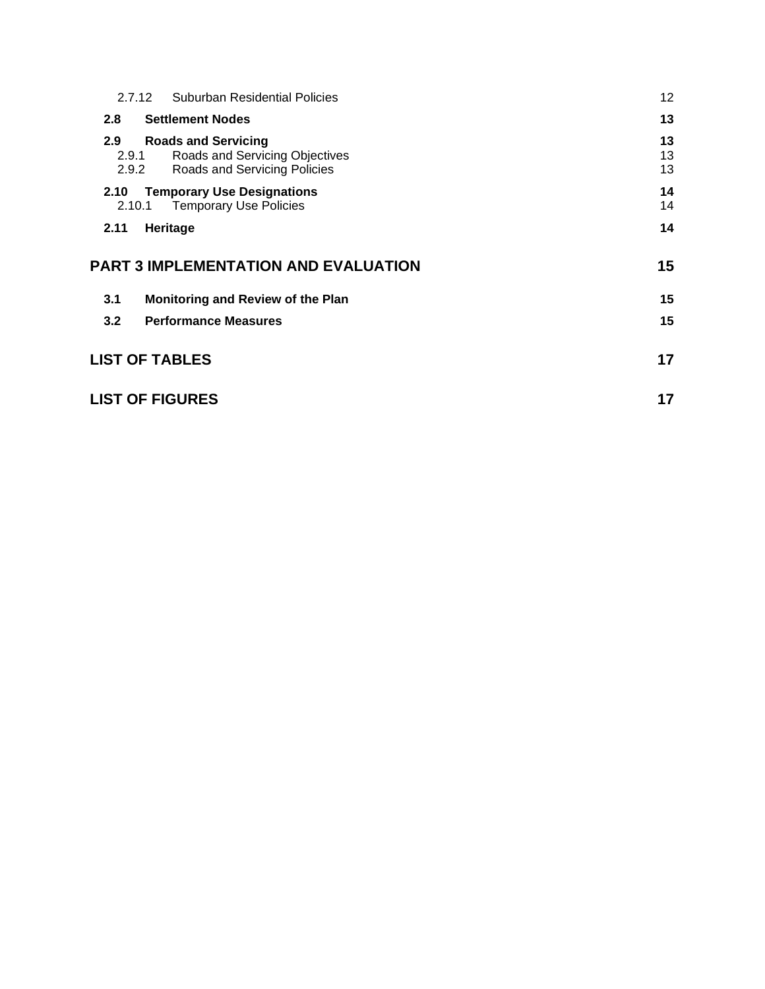| 2.7.12                          | Suburban Residential Policies                                                                | 12 <sup>°</sup> |
|---------------------------------|----------------------------------------------------------------------------------------------|-----------------|
| 2.8                             | <b>Settlement Nodes</b>                                                                      | 13              |
| $2.9^{\circ}$<br>2.9.1<br>2.9.2 | <b>Roads and Servicing</b><br>Roads and Servicing Objectives<br>Roads and Servicing Policies | 13<br>13<br>13  |
| 2.10<br>2.10.1                  | <b>Temporary Use Designations</b><br><b>Temporary Use Policies</b>                           | 14<br>14        |
|                                 |                                                                                              | 14              |
| 2.11                            | Heritage                                                                                     |                 |
|                                 | <b>PART 3 IMPLEMENTATION AND EVALUATION</b>                                                  | 15              |
| 3.1                             | Monitoring and Review of the Plan                                                            | 15              |
| 3.2                             | <b>Performance Measures</b>                                                                  | 15              |
|                                 | <b>LIST OF TABLES</b>                                                                        | 17              |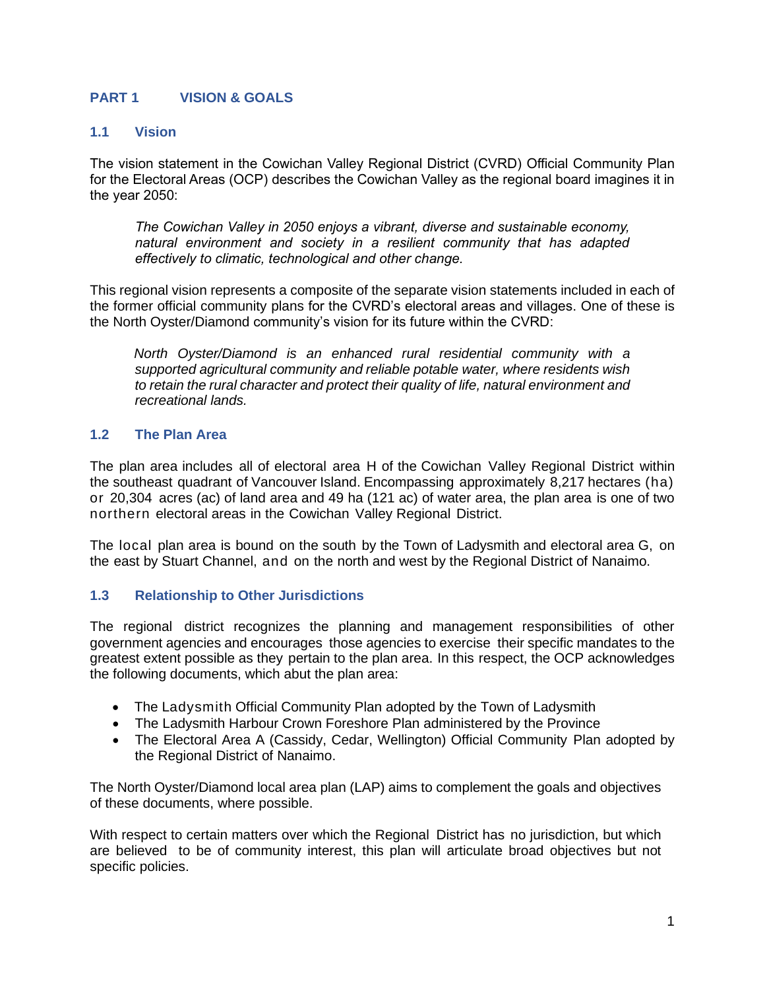# <span id="page-2-0"></span>**PART 1 VISION & GOALS**

### <span id="page-2-1"></span>**1.1 Vision**

The vision statement in the Cowichan Valley Regional District (CVRD) Official Community Plan for the Electoral Areas (OCP) describes the Cowichan Valley as the regional board imagines it in the year 2050:

*The Cowichan Valley in 2050 enjoys a vibrant, diverse and sustainable economy, natural environment and society in a resilient community that has adapted effectively to climatic, technological and other change.*

This regional vision represents a composite of the separate vision statements included in each of the former official community plans for the CVRD's electoral areas and villages. One of these is the North Oyster/Diamond community's vision for its future within the CVRD:

*North Oyster/Diamond is an enhanced rural residential community with a supported agricultural community and reliable potable water, where residents wish to retain the rural character and protect their quality of life, natural environment and recreational lands.*

### <span id="page-2-2"></span>**1.2 The Plan Area**

The plan area includes all of electoral area H of the Cowichan Valley Regional District within the southeast quadrant of Vancouver Island. Encompassing approximately 8,217 hectares (ha) or 20,304 acres (ac) of land area and 49 ha (121 ac) of water area, the plan area is one of two northern electoral areas in the Cowichan Valley Regional District.

The local plan area is bound on the south by the Town of Ladysmith and electoral area G, on the east by Stuart Channel, and on the north and west by the Regional District of Nanaimo.

## <span id="page-2-3"></span>**1.3 Relationship to Other Jurisdictions**

The regional district recognizes the planning and management responsibilities of other government agencies and encourages those agencies to exercise their specific mandates to the greatest extent possible as they pertain to the plan area. In this respect, the OCP acknowledges the following documents, which abut the plan area:

- The Ladysmith Official Community Plan adopted by the Town of Ladysmith
- The Ladysmith Harbour Crown Foreshore Plan administered by the Province
- The Electoral Area A (Cassidy, Cedar, Wellington) Official Community Plan adopted by the Regional District of Nanaimo.

The North Oyster/Diamond local area plan (LAP) aims to complement the goals and objectives of these documents, where possible.

With respect to certain matters over which the Regional District has no jurisdiction, but which are believed to be of community interest, this plan will articulate broad objectives but not specific policies.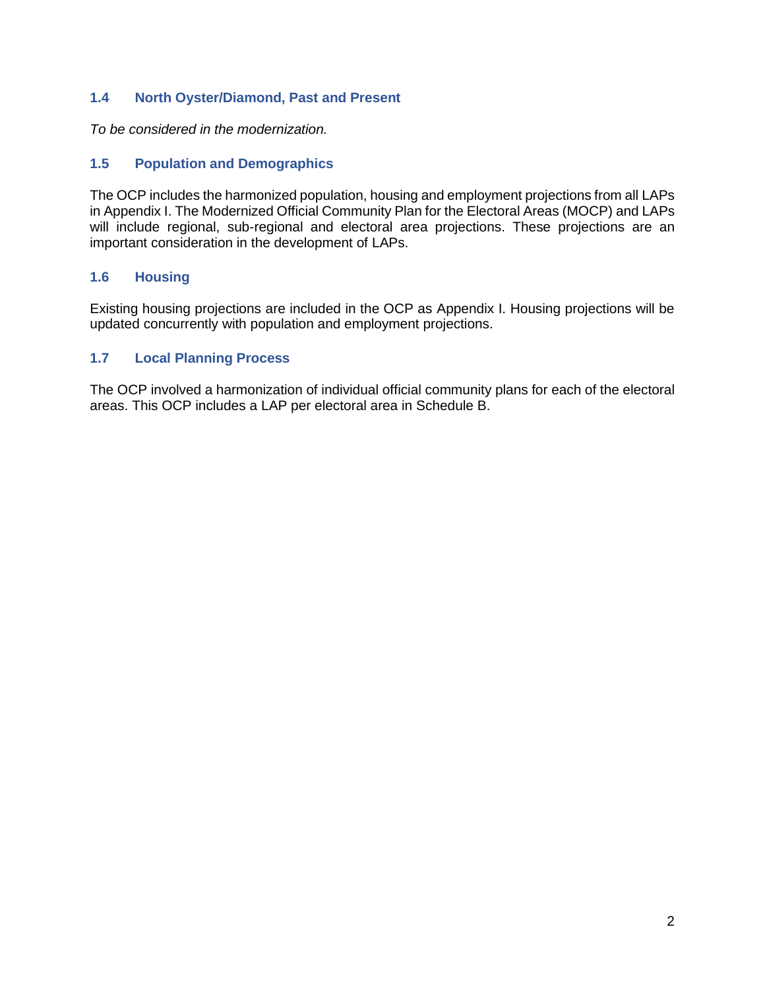# <span id="page-3-0"></span>**1.4 North Oyster/Diamond, Past and Present**

*To be considered in the modernization.*

# <span id="page-3-1"></span>**1.5 Population and Demographics**

The OCP includes the harmonized population, housing and employment projections from all LAPs in Appendix I. The Modernized Official Community Plan for the Electoral Areas (MOCP) and LAPs will include regional, sub-regional and electoral area projections. These projections are an important consideration in the development of LAPs.

## <span id="page-3-2"></span>**1.6 Housing**

Existing housing projections are included in the OCP as Appendix I. Housing projections will be updated concurrently with population and employment projections.

# <span id="page-3-3"></span>**1.7 Local Planning Process**

The OCP involved a harmonization of individual official community plans for each of the electoral areas. This OCP includes a LAP per electoral area in Schedule B.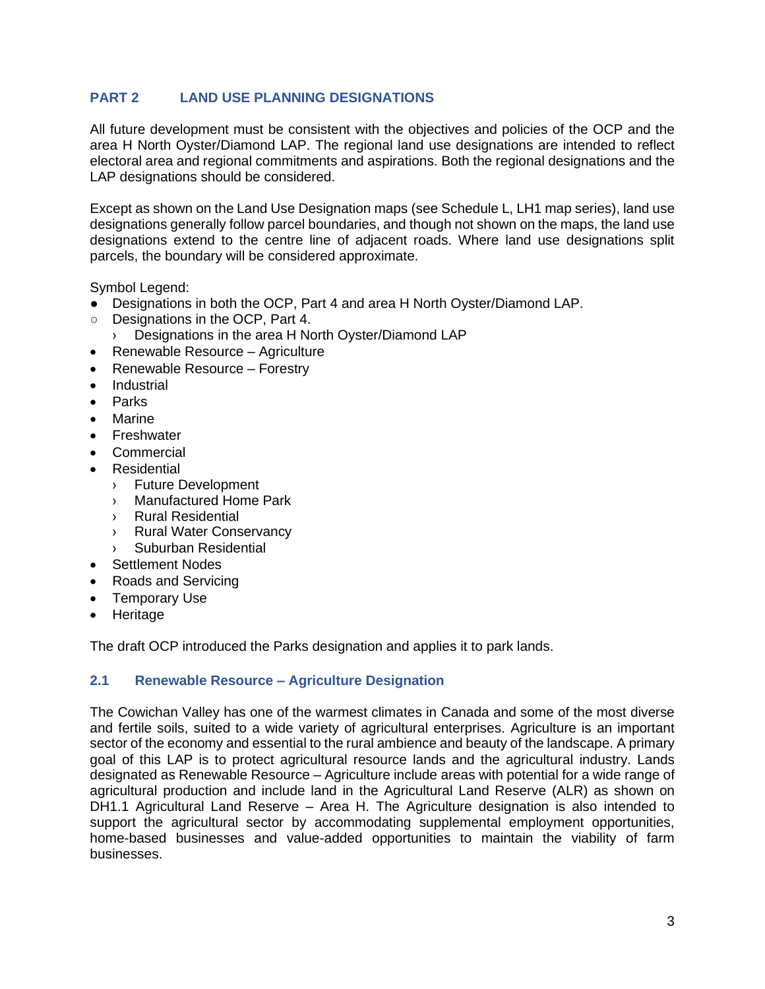# <span id="page-4-0"></span>**PART 2 LAND USE PLANNING DESIGNATIONS**

All future development must be consistent with the objectives and policies of the OCP and the area H North Oyster/Diamond LAP. The regional land use designations are intended to reflect electoral area and regional commitments and aspirations. Both the regional designations and the LAP designations should be considered.

Except as shown on the Land Use Designation maps (see Schedule L, LH1 map series), land use designations generally follow parcel boundaries, and though not shown on the maps, the land use designations extend to the centre line of adjacent roads. Where land use designations split parcels, the boundary will be considered approximate.

Symbol Legend:

- Designations in both the OCP, Part 4 and area H North Oyster/Diamond LAP.
- Designations in the OCP, Part 4.
	- › Designations in the area H North Oyster/Diamond LAP
- Renewable Resource Agriculture
- Renewable Resource Forestry
- **Industrial**
- Parks
- Marine
- **Freshwater**
- **Commercial**
- **Residential** 
	- › Future Development
	- › Manufactured Home Park
	- › Rural Residential
	- › Rural Water Conservancy
	- Suburban Residential
- Settlement Nodes
- Roads and Servicing
- Temporary Use
- Heritage

The draft OCP introduced the Parks designation and applies it to park lands.

## <span id="page-4-1"></span>**2.1 Renewable Resource – Agriculture Designation**

The Cowichan Valley has one of the warmest climates in Canada and some of the most diverse and fertile soils, suited to a wide variety of agricultural enterprises. Agriculture is an important sector of the economy and essential to the rural ambience and beauty of the landscape. A primary goal of this LAP is to protect agricultural resource lands and the agricultural industry. Lands designated as Renewable Resource – Agriculture include areas with potential for a wide range of agricultural production and include land in the Agricultural Land Reserve (ALR) as shown on DH1.1 Agricultural Land Reserve – Area H. The Agriculture designation is also intended to support the agricultural sector by accommodating supplemental employment opportunities, home-based businesses and value-added opportunities to maintain the viability of farm businesses.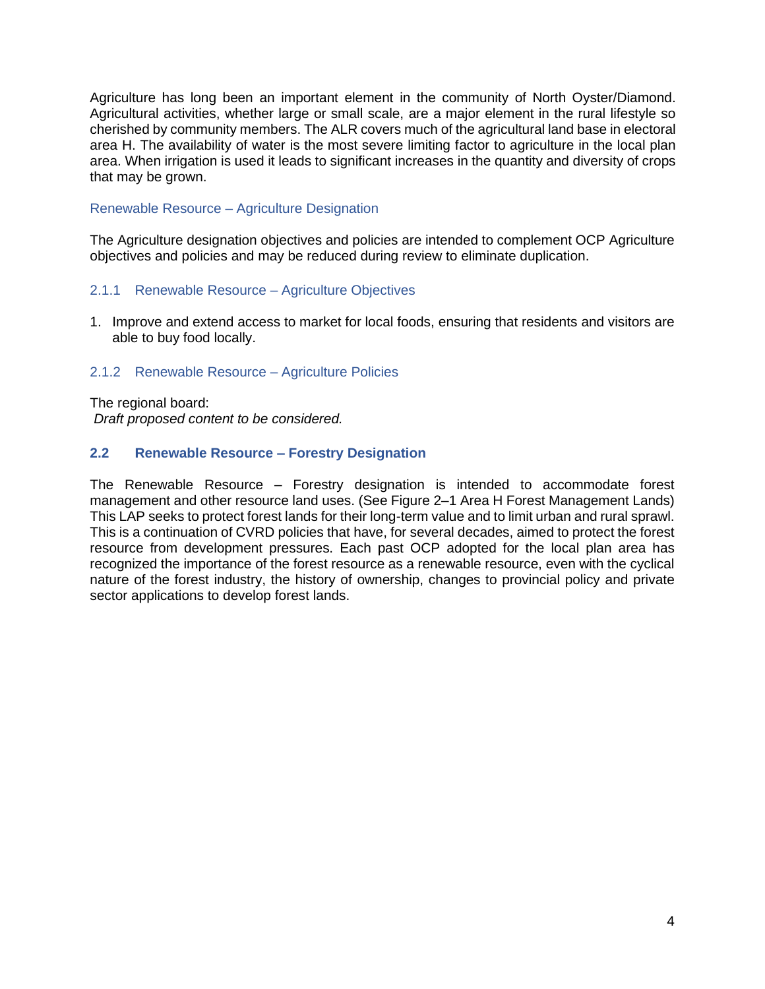Agriculture has long been an important element in the community of North Oyster/Diamond. Agricultural activities, whether large or small scale, are a major element in the rural lifestyle so cherished by community members. The ALR covers much of the agricultural land base in electoral area H. The availability of water is the most severe limiting factor to agriculture in the local plan area. When irrigation is used it leads to significant increases in the quantity and diversity of crops that may be grown.

### Renewable Resource – Agriculture Designation

The Agriculture designation objectives and policies are intended to complement OCP Agriculture objectives and policies and may be reduced during review to eliminate duplication.

### <span id="page-5-0"></span>2.1.1 Renewable Resource – Agriculture Objectives

1. Improve and extend access to market for local foods, ensuring that residents and visitors are able to buy food locally.

#### <span id="page-5-1"></span>2.1.2 Renewable Resource – Agriculture Policies

The regional board: *Draft proposed content to be considered.*

### <span id="page-5-2"></span>**2.2 Renewable Resource – Forestry Designation**

The Renewable Resource – Forestry designation is intended to accommodate forest management and other resource land uses. (See Figure 2–1 Area H Forest Management Lands) This LAP seeks to protect forest lands for their long-term value and to limit urban and rural sprawl. This is a continuation of CVRD policies that have, for several decades, aimed to protect the forest resource from development pressures. Each past OCP adopted for the local plan area has recognized the importance of the forest resource as a renewable resource, even with the cyclical nature of the forest industry, the history of ownership, changes to provincial policy and private sector applications to develop forest lands.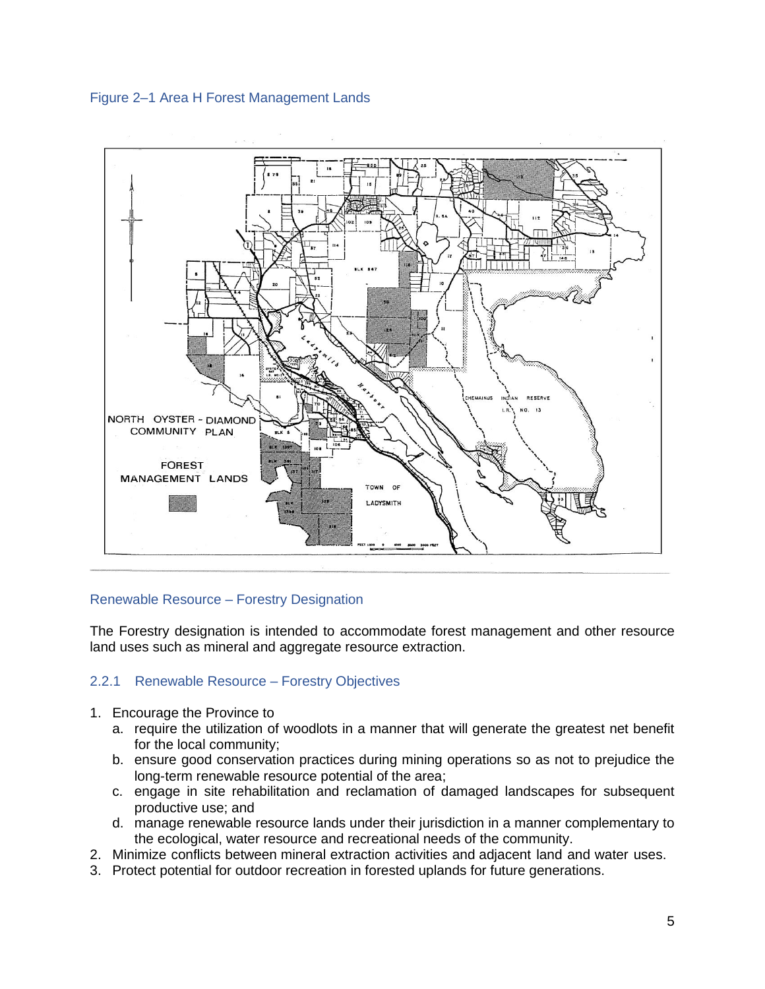<span id="page-6-1"></span>



#### Renewable Resource – Forestry Designation

The Forestry designation is intended to accommodate forest management and other resource land uses such as mineral and aggregate resource extraction.

### <span id="page-6-0"></span>2.2.1 Renewable Resource – Forestry Objectives

- 1. Encourage the Province to
	- a. require the utilization of woodlots in a manner that will generate the greatest net benefit for the local community;
	- b. ensure good conservation practices during mining operations so as not to prejudice the long-term renewable resource potential of the area;
	- c. engage in site rehabilitation and reclamation of damaged landscapes for subsequent productive use; and
	- d. manage renewable resource lands under their jurisdiction in a manner complementary to the ecological, water resource and recreational needs of the community.
- 2. Minimize conflicts between mineral extraction activities and adjacent land and water uses.
- 3. Protect potential for outdoor recreation in forested uplands for future generations.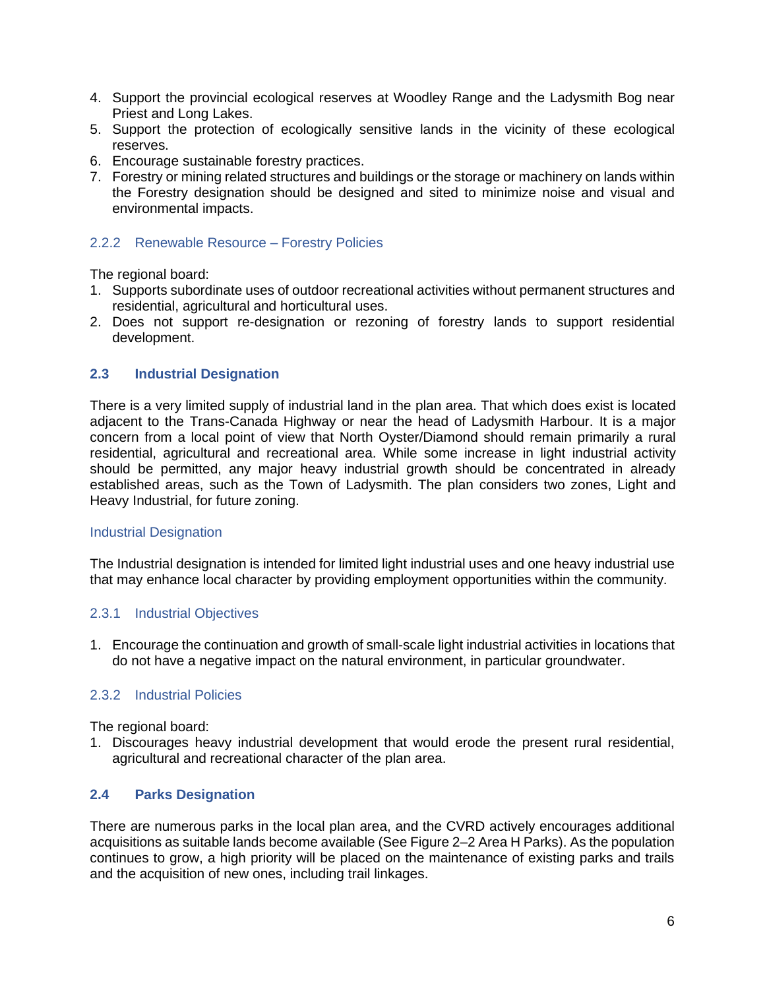- 4. Support the provincial ecological reserves at Woodley Range and the Ladysmith Bog near Priest and Long Lakes.
- 5. Support the protection of ecologically sensitive lands in the vicinity of these ecological reserves.
- 6. Encourage sustainable forestry practices.
- 7. Forestry or mining related structures and buildings or the storage or machinery on lands within the Forestry designation should be designed and sited to minimize noise and visual and environmental impacts.

### <span id="page-7-0"></span>2.2.2 Renewable Resource – Forestry Policies

The regional board:

- 1. Supports subordinate uses of outdoor recreational activities without permanent structures and residential, agricultural and horticultural uses.
- 2. Does not support re-designation or rezoning of forestry lands to support residential development.

### <span id="page-7-1"></span>**2.3 Industrial Designation**

There is a very limited supply of industrial land in the plan area. That which does exist is located adjacent to the Trans-Canada Highway or near the head of Ladysmith Harbour. It is a major concern from a local point of view that North Oyster/Diamond should remain primarily a rural residential, agricultural and recreational area. While some increase in light industrial activity should be permitted, any major heavy industrial growth should be concentrated in already established areas, such as the Town of Ladysmith. The plan considers two zones, Light and Heavy Industrial, for future zoning.

#### Industrial Designation

The Industrial designation is intended for limited light industrial uses and one heavy industrial use that may enhance local character by providing employment opportunities within the community.

#### <span id="page-7-2"></span>2.3.1 Industrial Objectives

1. Encourage the continuation and growth of small-scale light industrial activities in locations that do not have a negative impact on the natural environment, in particular groundwater.

## <span id="page-7-3"></span>2.3.2 Industrial Policies

The regional board:

1. Discourages heavy industrial development that would erode the present rural residential, agricultural and recreational character of the plan area.

## <span id="page-7-4"></span>**2.4 Parks Designation**

There are numerous parks in the local plan area, and the CVRD actively encourages additional acquisitions as suitable lands become available (See Figure 2–2 Area H Parks). As the population continues to grow, a high priority will be placed on the maintenance of existing parks and trails and the acquisition of new ones, including trail linkages.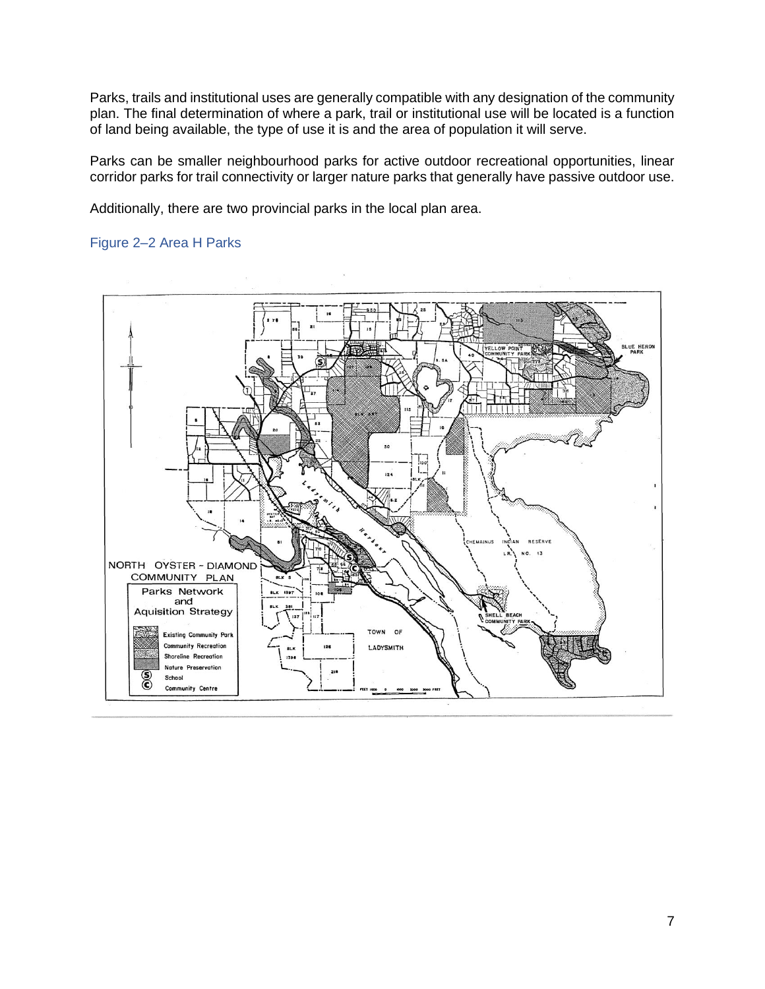Parks, trails and institutional uses are generally compatible with any designation of the community plan. The final determination of where a park, trail or institutional use will be located is a function of land being available, the type of use it is and the area of population it will serve.

Parks can be smaller neighbourhood parks for active outdoor recreational opportunities, linear corridor parks for trail connectivity or larger nature parks that generally have passive outdoor use.

Additionally, there are two provincial parks in the local plan area.

## <span id="page-8-0"></span>Figure 2–2 Area H Parks

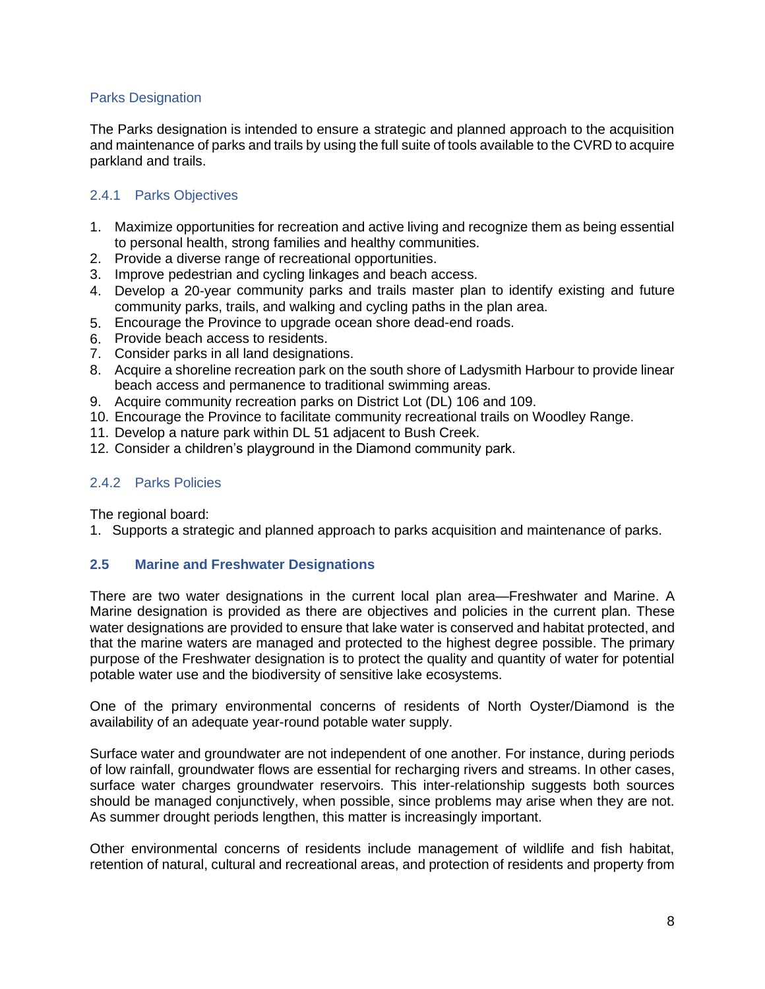### Parks Designation

The Parks designation is intended to ensure a strategic and planned approach to the acquisition and maintenance of parks and trails by using the full suite of tools available to the CVRD to acquire parkland and trails.

## <span id="page-9-0"></span>2.4.1 Parks Objectives

- 1. Maximize opportunities for recreation and active living and recognize them as being essential to personal health, strong families and healthy communities.
- 2. Provide a diverse range of recreational opportunities.
- 3. Improve pedestrian and cycling linkages and beach access.
- 4. Develop a 20-year community parks and trails master plan to identify existing and future community parks, trails, and walking and cycling paths in the plan area.
- 5. Encourage the Province to upgrade ocean shore dead-end roads.
- 6. Provide beach access to residents.
- 7. Consider parks in all land designations.
- 8. Acquire a shoreline recreation park on the south shore of Ladysmith Harbour to provide linear beach access and permanence to traditional swimming areas.
- 9. Acquire community recreation parks on District Lot (DL) 106 and 109.
- 10. Encourage the Province to facilitate community recreational trails on Woodley Range.
- 11. Develop a nature park within DL 51 adjacent to Bush Creek.
- 12. Consider a children's playground in the Diamond community park.

## <span id="page-9-1"></span>2.4.2 Parks Policies

The regional board:

1. Supports a strategic and planned approach to parks acquisition and maintenance of parks.

## <span id="page-9-2"></span>**2.5 Marine and Freshwater Designations**

There are two water designations in the current local plan area—Freshwater and Marine. A Marine designation is provided as there are objectives and policies in the current plan. These water designations are provided to ensure that lake water is conserved and habitat protected, and that the marine waters are managed and protected to the highest degree possible. The primary purpose of the Freshwater designation is to protect the quality and quantity of water for potential potable water use and the biodiversity of sensitive lake ecosystems.

One of the primary environmental concerns of residents of North Oyster/Diamond is the availability of an adequate year-round potable water supply.

Surface water and groundwater are not independent of one another. For instance, during periods of low rainfall, groundwater flows are essential for recharging rivers and streams. In other cases, surface water charges groundwater reservoirs. This inter-relationship suggests both sources should be managed conjunctively, when possible, since problems may arise when they are not. As summer drought periods lengthen, this matter is increasingly important.

Other environmental concerns of residents include management of wildlife and fish habitat, retention of natural, cultural and recreational areas, and protection of residents and property from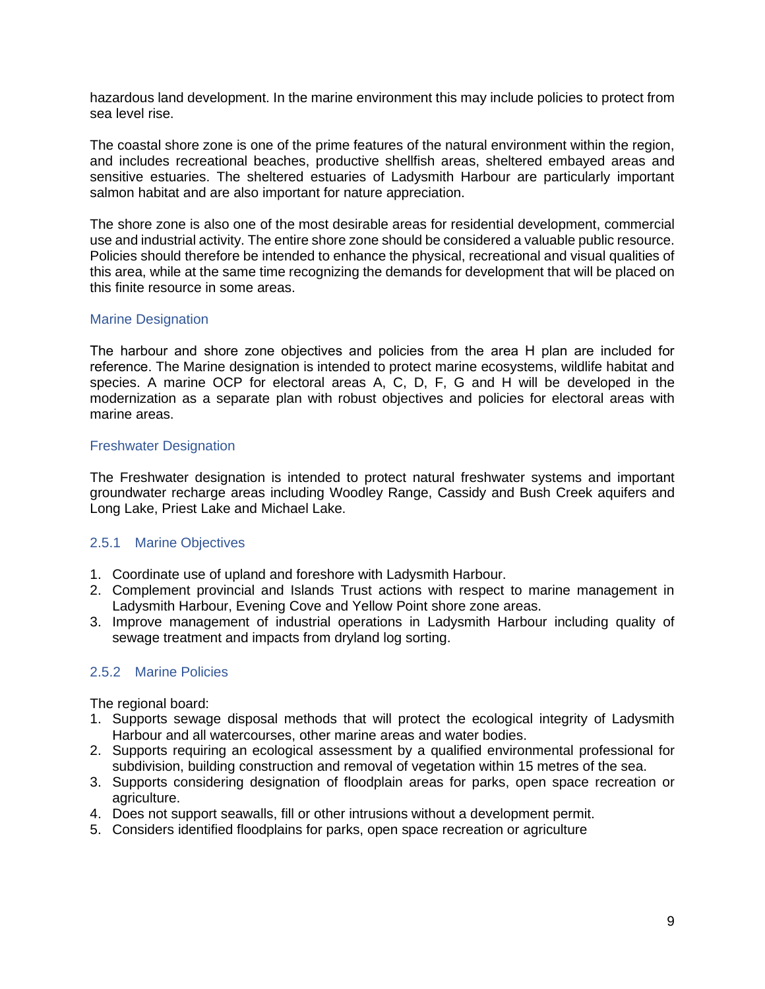hazardous land development. In the marine environment this may include policies to protect from sea level rise.

The coastal shore zone is one of the prime features of the natural environment within the region, and includes recreational beaches, productive shellfish areas, sheltered embayed areas and sensitive estuaries. The sheltered estuaries of Ladysmith Harbour are particularly important salmon habitat and are also important for nature appreciation.

The shore zone is also one of the most desirable areas for residential development, commercial use and industrial activity. The entire shore zone should be considered a valuable public resource. Policies should therefore be intended to enhance the physical, recreational and visual qualities of this area, while at the same time recognizing the demands for development that will be placed on this finite resource in some areas.

## Marine Designation

The harbour and shore zone objectives and policies from the area H plan are included for reference. The Marine designation is intended to protect marine ecosystems, wildlife habitat and species. A marine OCP for electoral areas A, C, D, F, G and H will be developed in the modernization as a separate plan with robust objectives and policies for electoral areas with marine areas.

## Freshwater Designation

The Freshwater designation is intended to protect natural freshwater systems and important groundwater recharge areas including Woodley Range, Cassidy and Bush Creek aquifers and Long Lake, Priest Lake and Michael Lake.

## <span id="page-10-0"></span>2.5.1 Marine Objectives

- 1. Coordinate use of upland and foreshore with Ladysmith Harbour.
- 2. Complement provincial and Islands Trust actions with respect to marine management in Ladysmith Harbour, Evening Cove and Yellow Point shore zone areas.
- 3. Improve management of industrial operations in Ladysmith Harbour including quality of sewage treatment and impacts from dryland log sorting.

## <span id="page-10-1"></span>2.5.2 Marine Policies

The regional board:

- 1. Supports sewage disposal methods that will protect the ecological integrity of Ladysmith Harbour and all watercourses, other marine areas and water bodies.
- 2. Supports requiring an ecological assessment by a qualified environmental professional for subdivision, building construction and removal of vegetation within 15 metres of the sea.
- 3. Supports considering designation of floodplain areas for parks, open space recreation or agriculture.
- 4. Does not support seawalls, fill or other intrusions without a development permit.
- 5. Considers identified floodplains for parks, open space recreation or agriculture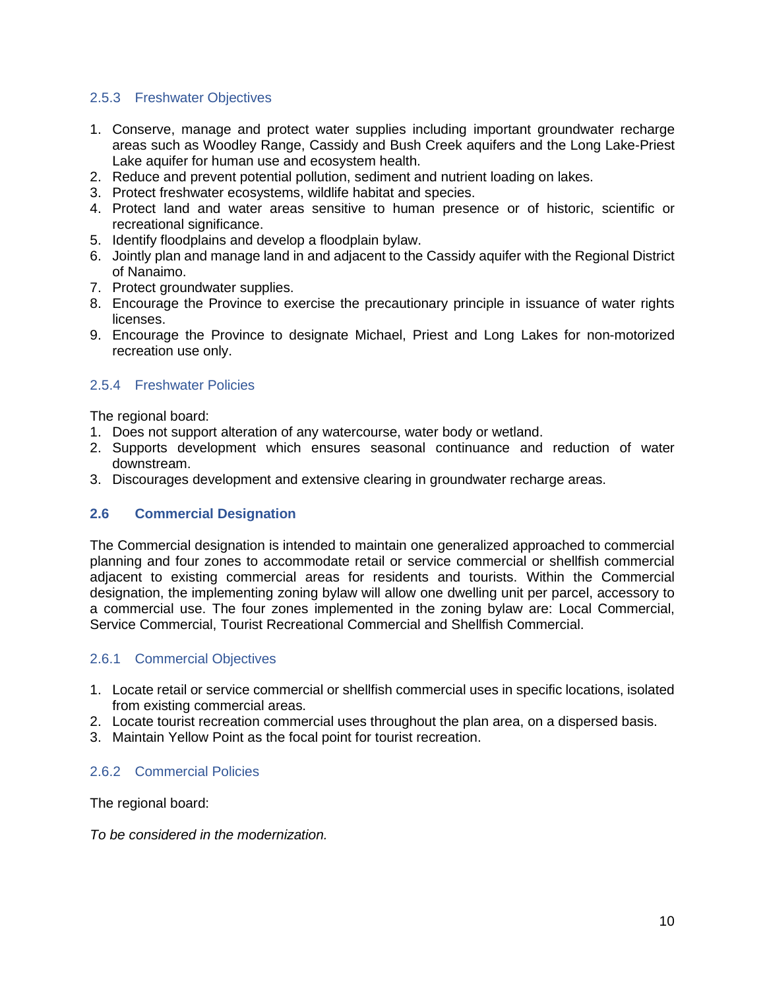## <span id="page-11-0"></span>2.5.3 Freshwater Objectives

- 1. Conserve, manage and protect water supplies including important groundwater recharge areas such as Woodley Range, Cassidy and Bush Creek aquifers and the Long Lake-Priest Lake aquifer for human use and ecosystem health.
- 2. Reduce and prevent potential pollution, sediment and nutrient loading on lakes.
- 3. Protect freshwater ecosystems, wildlife habitat and species.
- 4. Protect land and water areas sensitive to human presence or of historic, scientific or recreational significance.
- 5. Identify floodplains and develop a floodplain bylaw.
- 6. Jointly plan and manage land in and adjacent to the Cassidy aquifer with the Regional District of Nanaimo.
- 7. Protect groundwater supplies.
- 8. Encourage the Province to exercise the precautionary principle in issuance of water rights licenses.
- 9. Encourage the Province to designate Michael, Priest and Long Lakes for non-motorized recreation use only.

## <span id="page-11-1"></span>2.5.4 Freshwater Policies

The regional board:

- 1. Does not support alteration of any watercourse, water body or wetland.
- 2. Supports development which ensures seasonal continuance and reduction of water downstream.
- 3. Discourages development and extensive clearing in groundwater recharge areas.

## <span id="page-11-2"></span>**2.6 Commercial Designation**

The Commercial designation is intended to maintain one generalized approached to commercial planning and four zones to accommodate retail or service commercial or shellfish commercial adjacent to existing commercial areas for residents and tourists. Within the Commercial designation, the implementing zoning bylaw will allow one dwelling unit per parcel, accessory to a commercial use. The four zones implemented in the zoning bylaw are: Local Commercial, Service Commercial, Tourist Recreational Commercial and Shellfish Commercial.

## <span id="page-11-3"></span>2.6.1 Commercial Objectives

- 1. Locate retail or service commercial or shellfish commercial uses in specific locations, isolated from existing commercial areas.
- 2. Locate tourist recreation commercial uses throughout the plan area, on a dispersed basis.
- 3. Maintain Yellow Point as the focal point for tourist recreation.

## <span id="page-11-4"></span>2.6.2 Commercial Policies

The regional board:

*To be considered in the modernization.*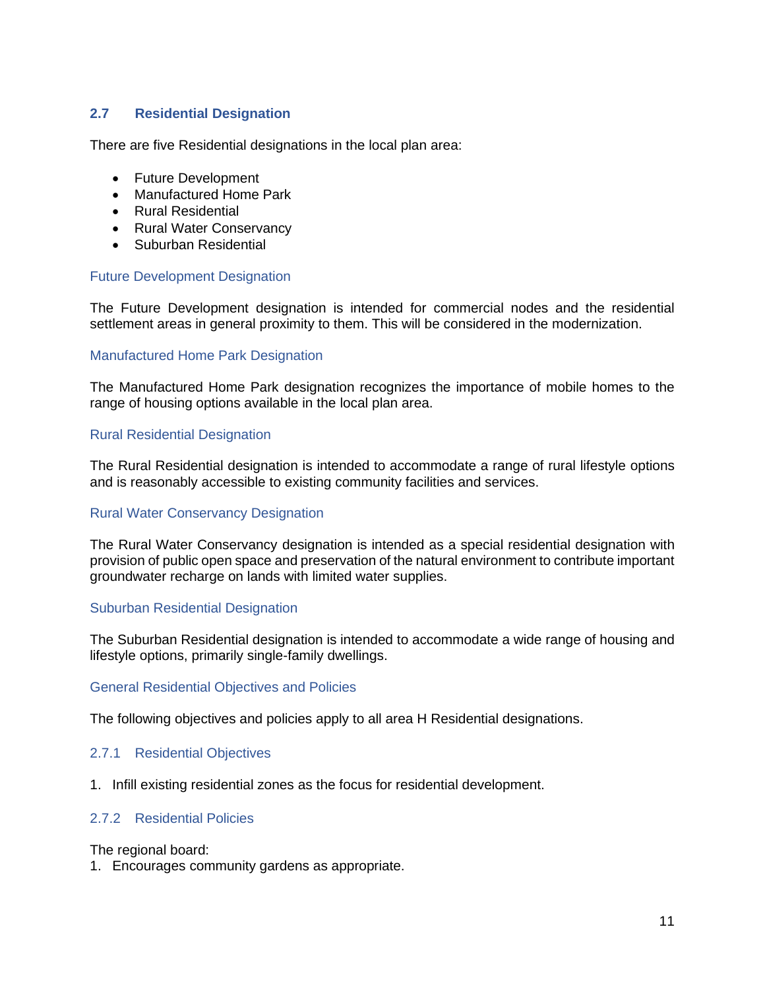# <span id="page-12-0"></span>**2.7 Residential Designation**

There are five Residential designations in the local plan area:

- Future Development
- Manufactured Home Park
- Rural Residential
- Rural Water Conservancy
- Suburban Residential

### Future Development Designation

The Future Development designation is intended for commercial nodes and the residential settlement areas in general proximity to them. This will be considered in the modernization.

#### Manufactured Home Park Designation

The Manufactured Home Park designation recognizes the importance of mobile homes to the range of housing options available in the local plan area.

#### Rural Residential Designation

The Rural Residential designation is intended to accommodate a range of rural lifestyle options and is reasonably accessible to existing community facilities and services.

#### Rural Water Conservancy Designation

The Rural Water Conservancy designation is intended as a special residential designation with provision of public open space and preservation of the natural environment to contribute important groundwater recharge on lands with limited water supplies.

#### Suburban Residential Designation

The Suburban Residential designation is intended to accommodate a wide range of housing and lifestyle options, primarily single-family dwellings.

#### General Residential Objectives and Policies

The following objectives and policies apply to all area H Residential designations.

## <span id="page-12-1"></span>2.7.1 Residential Objectives

1. Infill existing residential zones as the focus for residential development.

## <span id="page-12-2"></span>2.7.2 Residential Policies

The regional board:

1. Encourages community gardens as appropriate.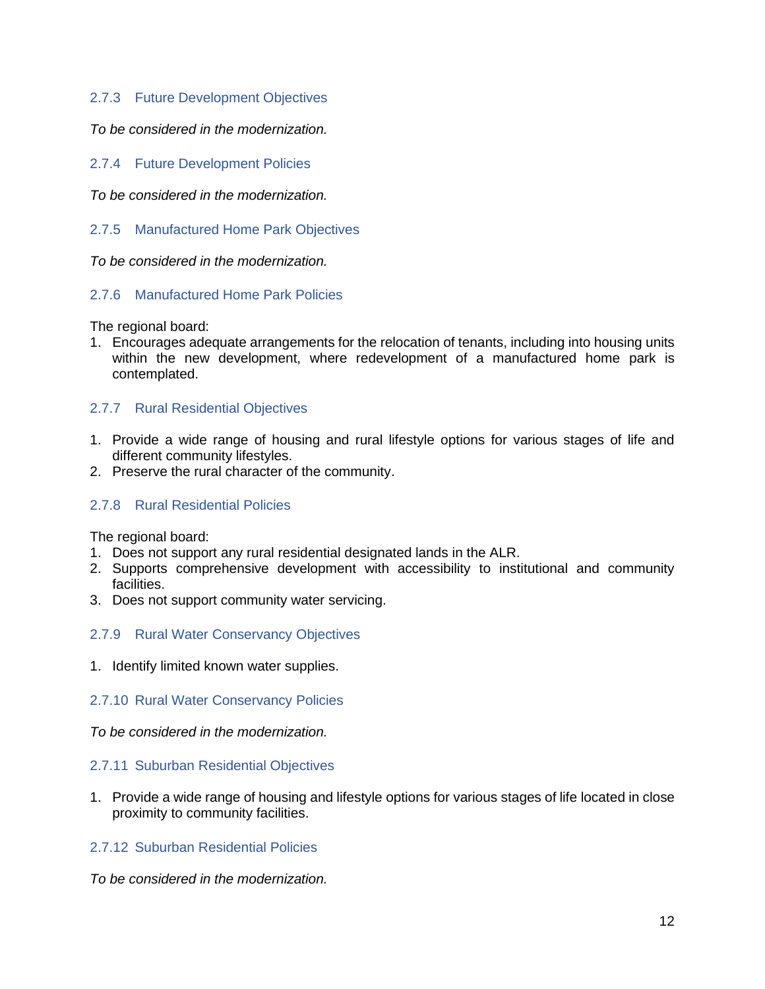## <span id="page-13-0"></span>2.7.3 Future Development Objectives

*To be considered in the modernization.*

<span id="page-13-1"></span>2.7.4 Future Development Policies

*To be considered in the modernization.*

<span id="page-13-2"></span>2.7.5 Manufactured Home Park Objectives

*To be considered in the modernization.*

### <span id="page-13-3"></span>2.7.6 Manufactured Home Park Policies

The regional board:

1. Encourages adequate arrangements for the relocation of tenants, including into housing units within the new development, where redevelopment of a manufactured home park is contemplated.

## <span id="page-13-4"></span>2.7.7 Rural Residential Objectives

- 1. Provide a wide range of housing and rural lifestyle options for various stages of life and different community lifestyles.
- 2. Preserve the rural character of the community.

## <span id="page-13-5"></span>2.7.8 Rural Residential Policies

The regional board:

- 1. Does not support any rural residential designated lands in the ALR.
- 2. Supports comprehensive development with accessibility to institutional and community facilities.
- 3. Does not support community water servicing.

#### <span id="page-13-6"></span>2.7.9 Rural Water Conservancy Objectives

1. Identify limited known water supplies.

#### <span id="page-13-7"></span>2.7.10 Rural Water Conservancy Policies

*To be considered in the modernization.*

#### <span id="page-13-8"></span>2.7.11 Suburban Residential Objectives

1. Provide a wide range of housing and lifestyle options for various stages of life located in close proximity to community facilities.

## <span id="page-13-9"></span>2.7.12 Suburban Residential Policies

*To be considered in the modernization.*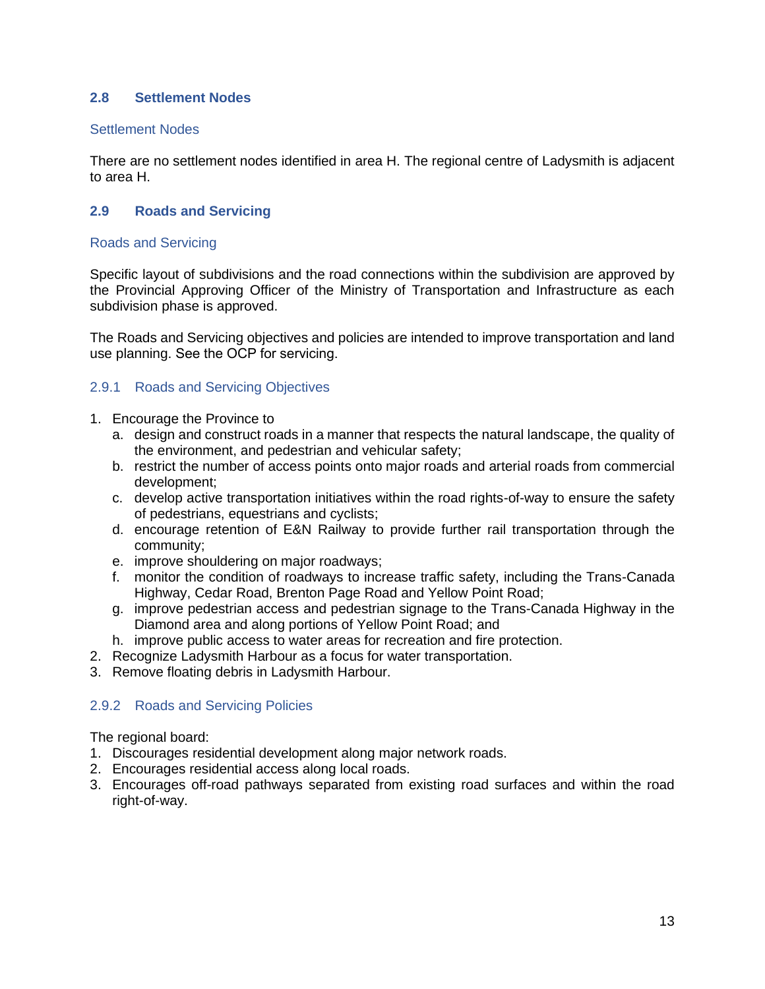## <span id="page-14-0"></span>**2.8 Settlement Nodes**

### Settlement Nodes

There are no settlement nodes identified in area H. The regional centre of Ladysmith is adjacent to area H.

## <span id="page-14-1"></span>**2.9 Roads and Servicing**

#### Roads and Servicing

Specific layout of subdivisions and the road connections within the subdivision are approved by the Provincial Approving Officer of the Ministry of Transportation and Infrastructure as each subdivision phase is approved.

The Roads and Servicing objectives and policies are intended to improve transportation and land use planning. See the OCP for servicing.

## <span id="page-14-2"></span>2.9.1 Roads and Servicing Objectives

- 1. Encourage the Province to
	- a. design and construct roads in a manner that respects the natural landscape, the quality of the environment, and pedestrian and vehicular safety;
	- b. restrict the number of access points onto major roads and arterial roads from commercial development;
	- c. develop active transportation initiatives within the road rights-of-way to ensure the safety of pedestrians, equestrians and cyclists;
	- d. encourage retention of E&N Railway to provide further rail transportation through the community;
	- e. improve shouldering on major roadways;
	- f. monitor the condition of roadways to increase traffic safety, including the Trans-Canada Highway, Cedar Road, Brenton Page Road and Yellow Point Road;
	- g. improve pedestrian access and pedestrian signage to the Trans-Canada Highway in the Diamond area and along portions of Yellow Point Road; and
	- h. improve public access to water areas for recreation and fire protection.
- 2. Recognize Ladysmith Harbour as a focus for water transportation.
- 3. Remove floating debris in Ladysmith Harbour.

## <span id="page-14-3"></span>2.9.2 Roads and Servicing Policies

The regional board:

- 1. Discourages residential development along major network roads.
- 2. Encourages residential access along local roads.
- 3. Encourages off-road pathways separated from existing road surfaces and within the road right-of-way.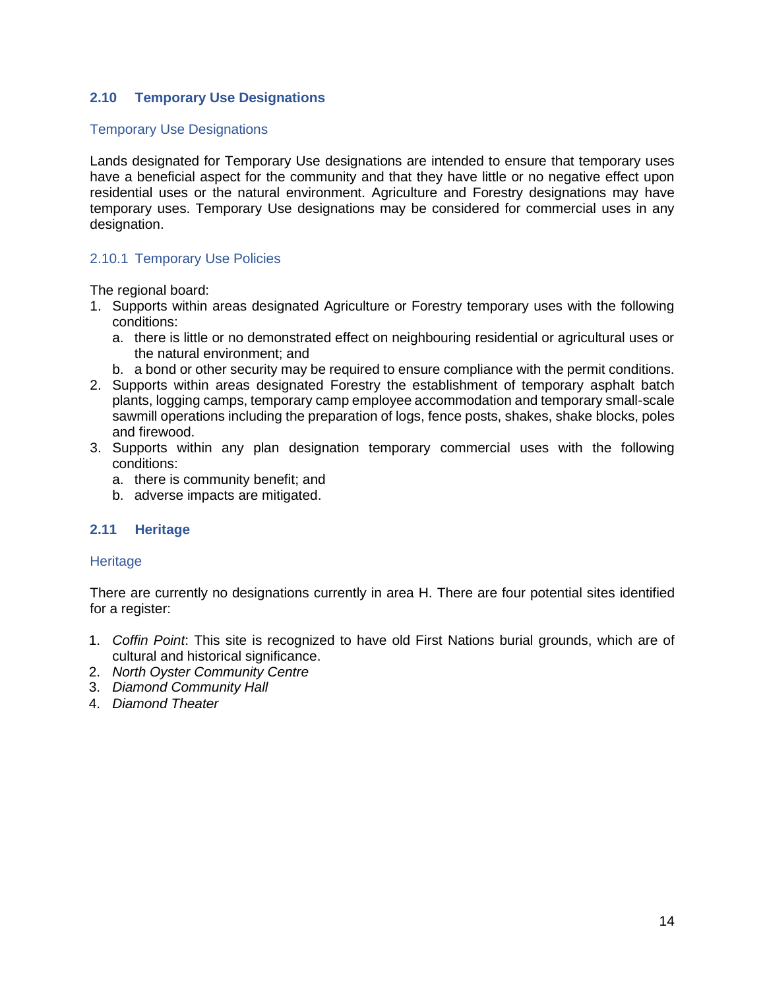# <span id="page-15-0"></span>**2.10 Temporary Use Designations**

#### Temporary Use Designations

Lands designated for Temporary Use designations are intended to ensure that temporary uses have a beneficial aspect for the community and that they have little or no negative effect upon residential uses or the natural environment. Agriculture and Forestry designations may have temporary uses. Temporary Use designations may be considered for commercial uses in any designation.

## <span id="page-15-1"></span>2.10.1 Temporary Use Policies

The regional board:

- 1. Supports within areas designated Agriculture or Forestry temporary uses with the following conditions:
	- a. there is little or no demonstrated effect on neighbouring residential or agricultural uses or the natural environment; and
	- b. a bond or other security may be required to ensure compliance with the permit conditions.
- 2. Supports within areas designated Forestry the establishment of temporary asphalt batch plants, logging camps, temporary camp employee accommodation and temporary small-scale sawmill operations including the preparation of logs, fence posts, shakes, shake blocks, poles and firewood.
- 3. Supports within any plan designation temporary commercial uses with the following conditions:
	- a. there is community benefit; and
	- b. adverse impacts are mitigated.

## <span id="page-15-2"></span>**2.11 Heritage**

#### **Heritage**

There are currently no designations currently in area H. There are four potential sites identified for a register:

- 1. *Coffin Point*: This site is recognized to have old First Nations burial grounds, which are of cultural and historical significance.
- 2. *North Oyster Community Centre*
- 3. *Diamond Community Hall*
- 4. *Diamond Theater*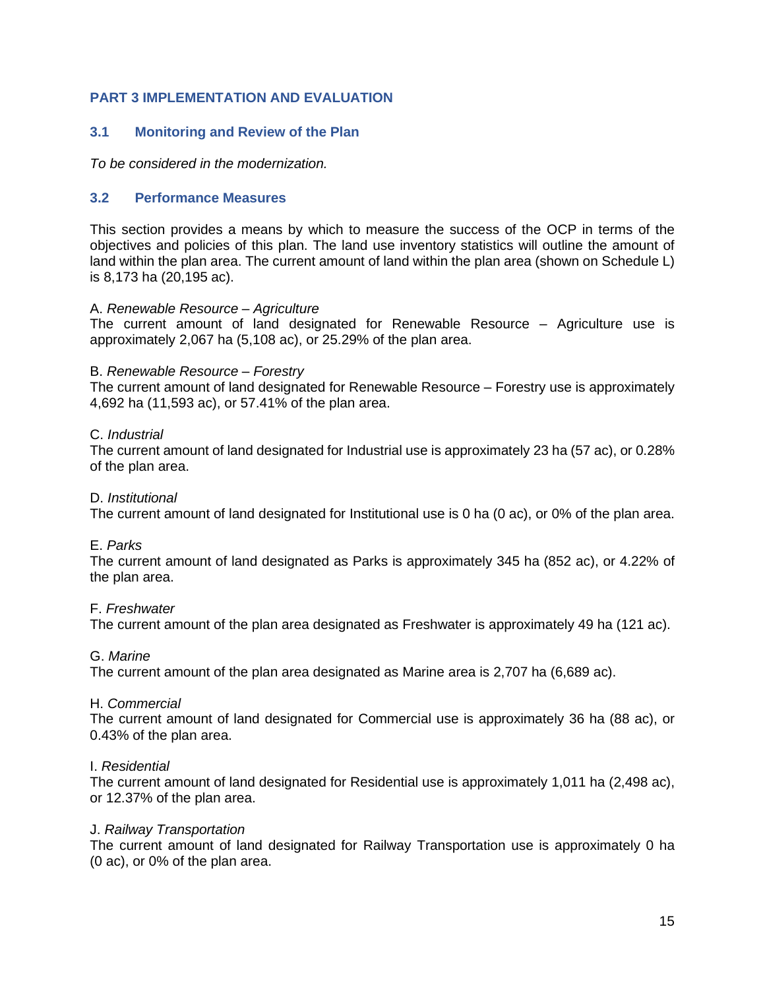# <span id="page-16-0"></span>**PART 3 IMPLEMENTATION AND EVALUATION**

## <span id="page-16-1"></span>**3.1 Monitoring and Review of the Plan**

*To be considered in the modernization.*

#### <span id="page-16-2"></span>**3.2 Performance Measures**

This section provides a means by which to measure the success of the OCP in terms of the objectives and policies of this plan. The land use inventory statistics will outline the amount of land within the plan area. The current amount of land within the plan area (shown on Schedule L) is 8,173 ha (20,195 ac).

#### A. *Renewable Resource – Agriculture*

The current amount of land designated for Renewable Resource – Agriculture use is approximately 2,067 ha (5,108 ac), or 25.29% of the plan area.

#### B. *Renewable Resource – Forestry*

The current amount of land designated for Renewable Resource – Forestry use is approximately 4,692 ha (11,593 ac), or 57.41% of the plan area.

#### C. *Industrial*

The current amount of land designated for Industrial use is approximately 23 ha (57 ac), or 0.28% of the plan area.

#### D. *Institutional*

The current amount of land designated for Institutional use is 0 ha (0 ac), or 0% of the plan area.

#### E. *Parks*

The current amount of land designated as Parks is approximately 345 ha (852 ac), or 4.22% of the plan area.

#### F. *Freshwater*

The current amount of the plan area designated as Freshwater is approximately 49 ha (121 ac).

#### G. *Marine*

The current amount of the plan area designated as Marine area is 2,707 ha (6,689 ac).

#### H. *Commercial*

The current amount of land designated for Commercial use is approximately 36 ha (88 ac), or 0.43% of the plan area.

#### I. *Residential*

The current amount of land designated for Residential use is approximately 1,011 ha (2,498 ac), or 12.37% of the plan area.

#### J. *Railway Transportation*

The current amount of land designated for Railway Transportation use is approximately 0 ha (0 ac), or 0% of the plan area.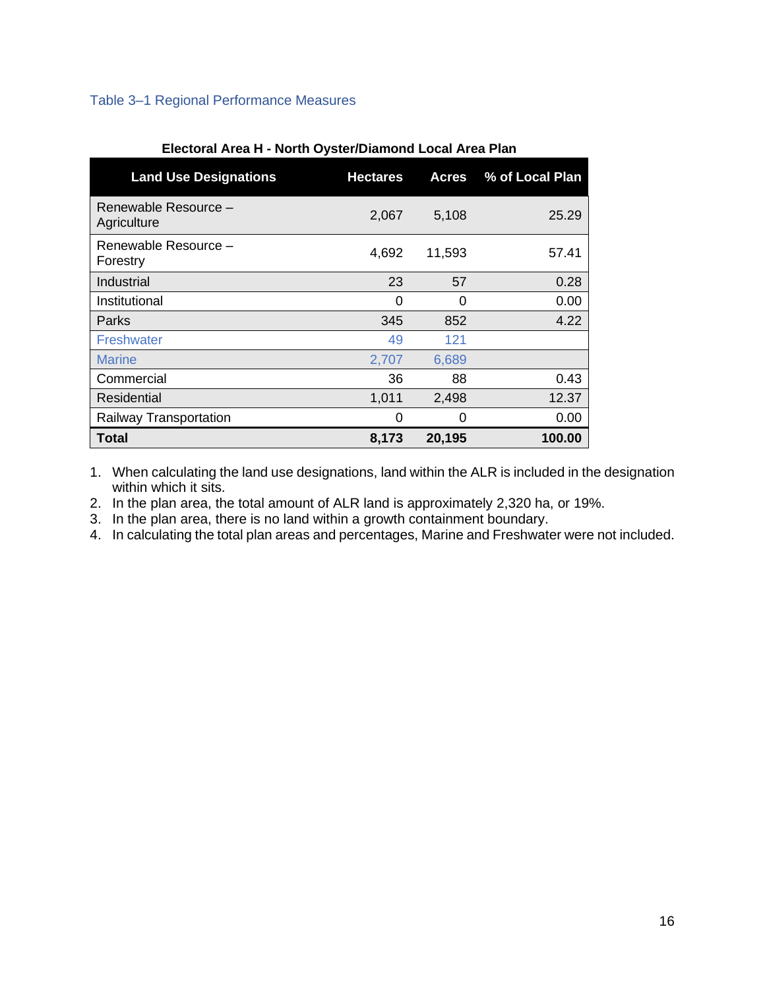# <span id="page-17-0"></span>Table 3–1 Regional Performance Measures

| <b>Land Use Designations</b>        | <b>Hectares</b> | <b>Acres</b> | % of Local Plan |
|-------------------------------------|-----------------|--------------|-----------------|
| Renewable Resource -<br>Agriculture | 2,067           | 5,108        | 25.29           |
| Renewable Resource -<br>Forestry    | 4,692           | 11,593       | 57.41           |
| Industrial                          | 23              | 57           | 0.28            |
| Institutional                       | 0               | 0            | 0.00            |
| Parks                               | 345             | 852          | 4.22            |
| Freshwater                          | 49              | 121          |                 |
| <b>Marine</b>                       | 2,707           | 6,689        |                 |
| Commercial                          | 36              | 88           | 0.43            |
| Residential                         | 1,011           | 2,498        | 12.37           |
| Railway Transportation              | 0               | 0            | 0.00            |
| Total                               | 8,173           | 20,195       | 100.00          |

#### **Electoral Area H - North Oyster/Diamond Local Area Plan**

1. When calculating the land use designations, land within the ALR is included in the designation within which it sits.

2. In the plan area, the total amount of ALR land is approximately 2,320 ha, or 19%.

3. In the plan area, there is no land within a growth containment boundary.

4. In calculating the total plan areas and percentages, Marine and Freshwater were not included.